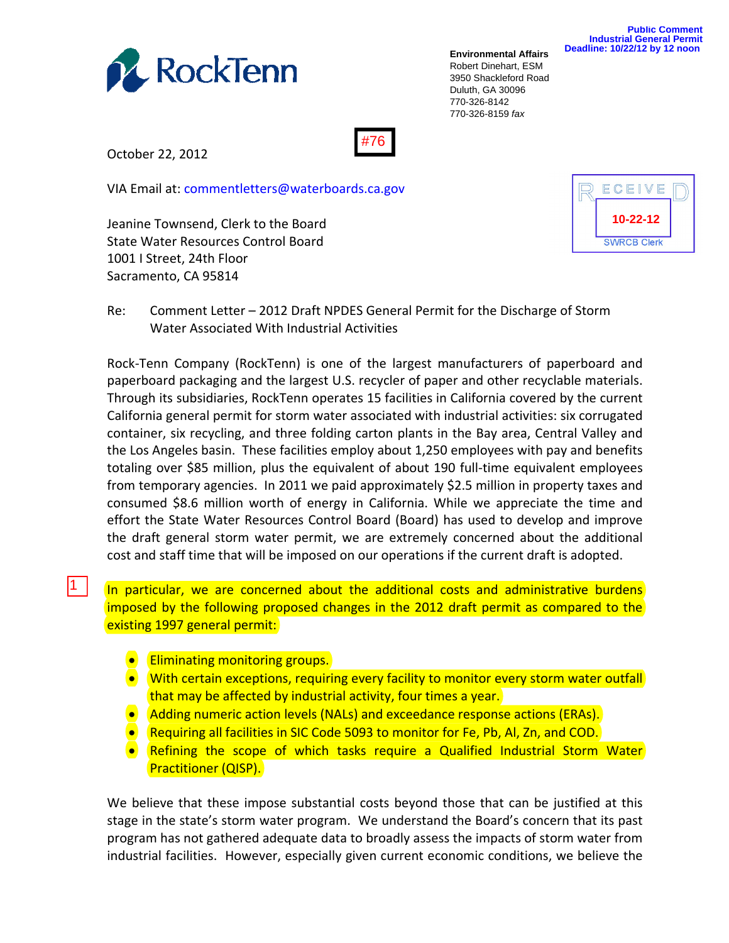

**Environmental Affairs** Robert Dinehart, ESM 3950 Shackleford Road Duluth, GA 30096 770-326-8142 770-326-8159 *fax*

#76

October 22, 2012

|1 |

VIA Email at: commentletters@waterboards.ca.gov

Jeanine Townsend, Clerk to the Board State Water Resources Control Board 1001 I Street, 24th Floor Sacramento, CA 95814



Re: Comment Letter – 2012 Draft NPDES General Permit for the Discharge of Storm Water Associated With Industrial Activities

Rock‐Tenn Company (RockTenn) is one of the largest manufacturers of paperboard and paperboard packaging and the largest U.S. recycler of paper and other recyclable materials. Through its subsidiaries, RockTenn operates 15 facilities in California covered by the current California general permit for storm water associated with industrial activities: six corrugated container, six recycling, and three folding carton plants in the Bay area, Central Valley and the Los Angeles basin. These facilities employ about 1,250 employees with pay and benefits totaling over \$85 million, plus the equivalent of about 190 full‐time equivalent employees from temporary agencies. In 2011 we paid approximately \$2.5 million in property taxes and consumed \$8.6 million worth of energy in California. While we appreciate the time and effort the State Water Resources Control Board (Board) has used to develop and improve the draft general storm water permit, we are extremely concerned about the additional cost and staff time that will be imposed on our operations if the current draft is adopted.

In particular, we are concerned about the additional costs and administrative burdens imposed by the following proposed changes in the 2012 draft permit as compared to the existing 1997 general permit:

- **•** Eliminating monitoring groups.
- With certain exceptions, requiring every facility to monitor every storm water outfall that may be affected by industrial activity, four times a year.
- Adding numeric action levels (NALs) and exceedance response actions (ERAs).
- Requiring all facilities in SIC Code 5093 to monitor for Fe, Pb, Al, Zn, and COD.
- Refining the scope of which tasks require a Qualified Industrial Storm Water Practitioner (QISP).

We believe that these impose substantial costs beyond those that can be justified at this stage in the state's storm water program. We understand the Board's concern that its past program has not gathered adequate data to broadly assess the impacts of storm water from industrial facilities. However, especially given current economic conditions, we believe the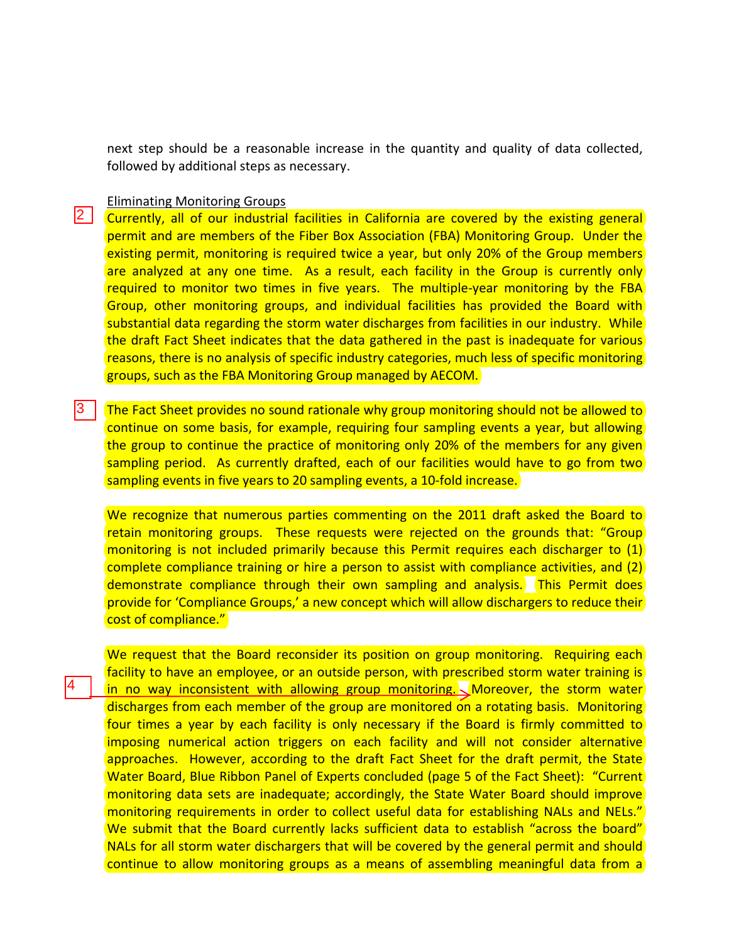next step should be a reasonable increase in the quantity and quality of data collected, followed by additional steps as necessary.

## Eliminating Monitoring Groups

4

2 Currently, all of our industrial facilities in California are covered by the existing general permit and are members of the Fiber Box Association (FBA) Monitoring Group. Under the existing permit, monitoring is required twice a year, but only 20% of the Group members are analyzed at any one time. As a result, each facility in the Group is currently only required to monitor two times in five years. The multiple-year monitoring by the FBA Group, other monitoring groups, and individual facilities has provided the Board with substantial data regarding the storm water discharges from facilities in our industry. While the draft Fact Sheet indicates that the data gathered in the past is inadequate for various reasons, there is no analysis of specific industry categories, much less of specific monitoring groups, such as the FBA Monitoring Group managed by AECOM.

The Fact Sheet provides no sound rationale why group monitoring should not be allowed to continue on some basis, for example, requiring four sampling events a year, but allowing the group to continue the practice of monitoring only 20% of the members for any given sampling period. As currently drafted, each of our facilities would have to go from two sampling events in five years to 20 sampling events, a 10‐fold increase.  $|3|$ 

We recognize that numerous parties commenting on the 2011 draft asked the Board to retain monitoring groups. These requests were rejected on the grounds that: "Group monitoring is not included primarily because this Permit requires each discharger to (1) complete compliance training or hire a person to assist with compliance activities, and (2) demonstrate compliance through their own sampling and analysis. This Permit does provide for 'Compliance Groups,' a new concept which will allow dischargers to reduce their cost of compliance."

We request that the Board reconsider its position on group monitoring. Requiring each facility to have an employee, or an outside person, with prescribed storm water training is in no way inconsistent with allowing group monitoring. Moreover, the storm water discharges from each member of the group are monitored on a rotating basis. Monitoring four times a year by each facility is only necessary if the Board is firmly committed to imposing numerical action triggers on each facility and will not consider alternative approaches. However, according to the draft Fact Sheet for the draft permit, the State Water Board, Blue Ribbon Panel of Experts concluded (page 5 of the Fact Sheet): "Current monitoring data sets are inadequate; accordingly, the State Water Board should improve monitoring requirements in order to collect useful data for establishing NALs and NELs." We submit that the Board currently lacks sufficient data to establish "across the board" NALs for all storm water dischargers that will be covered by the general permit and should continue to allow monitoring groups as a means of assembling meaningful data from a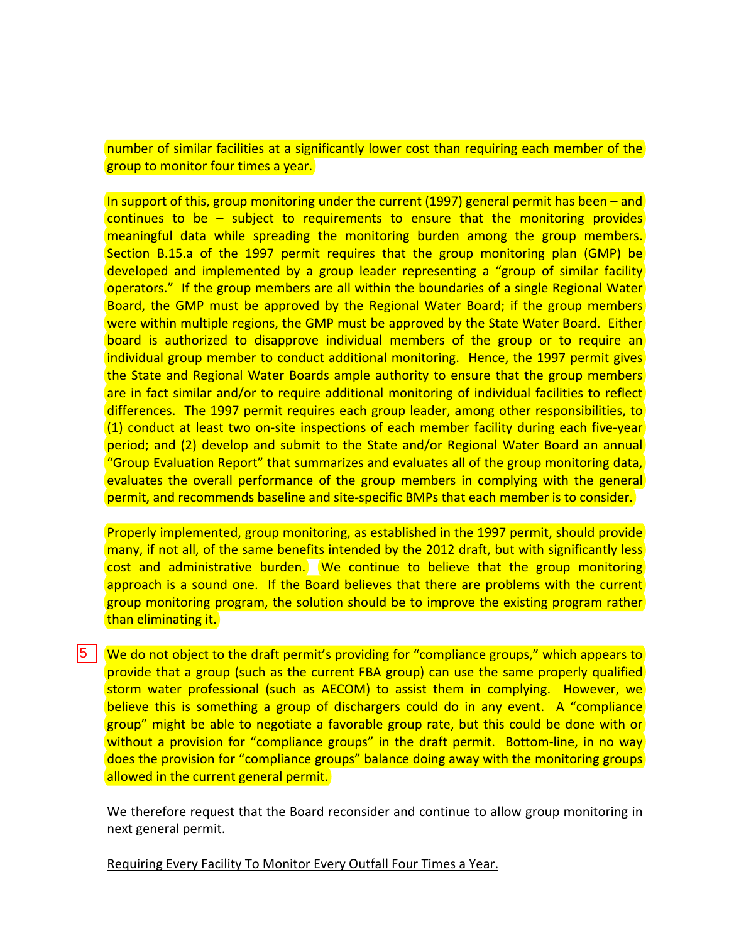number of similar facilities at a significantly lower cost than requiring each member of the group to monitor four times a year.

In support of this, group monitoring under the current (1997) general permit has been – and continues to be – subject to requirements to ensure that the monitoring provides meaningful data while spreading the monitoring burden among the group members. Section B.15.a of the 1997 permit requires that the group monitoring plan (GMP) be developed and implemented by a group leader representing a "group of similar facility operators." If the group members are all within the boundaries of a single Regional Water Board, the GMP must be approved by the Regional Water Board; if the group members were within multiple regions, the GMP must be approved by the State Water Board. Either board is authorized to disapprove individual members of the group or to require an individual group member to conduct additional monitoring. Hence, the 1997 permit gives the State and Regional Water Boards ample authority to ensure that the group members are in fact similar and/or to require additional monitoring of individual facilities to reflect differences. The 1997 permit requires each group leader, among other responsibilities, to (1) conduct at least two on‐site inspections of each member facility during each five‐year period; and (2) develop and submit to the State and/or Regional Water Board an annual "Group Evaluation Report" that summarizes and evaluates all of the group monitoring data, evaluates the overall performance of the group members in complying with the general permit, and recommends baseline and site-specific BMPs that each member is to consider.

Properly implemented, group monitoring, as established in the 1997 permit, should provide many, if not all, of the same benefits intended by the 2012 draft, but with significantly less cost and administrative burden. We continue to believe that the group monitoring approach is a sound one. If the Board believes that there are problems with the current group monitoring program, the solution should be to improve the existing program rather than eliminating it.

5 We do not object to the draft permit's providing for "compliance groups," which appears to provide that a group (such as the current FBA group) can use the same properly qualified storm water professional (such as AECOM) to assist them in complying. However, we believe this is something a group of dischargers could do in any event. A "compliance group" might be able to negotiate a favorable group rate, but this could be done with or without a provision for "compliance groups" in the draft permit. Bottom-line, in no way does the provision for "compliance groups" balance doing away with the monitoring groups allowed in the current general permit.

We therefore request that the Board reconsider and continue to allow group monitoring in next general permit.

Requiring Every Facility To Monitor Every Outfall Four Times a Year.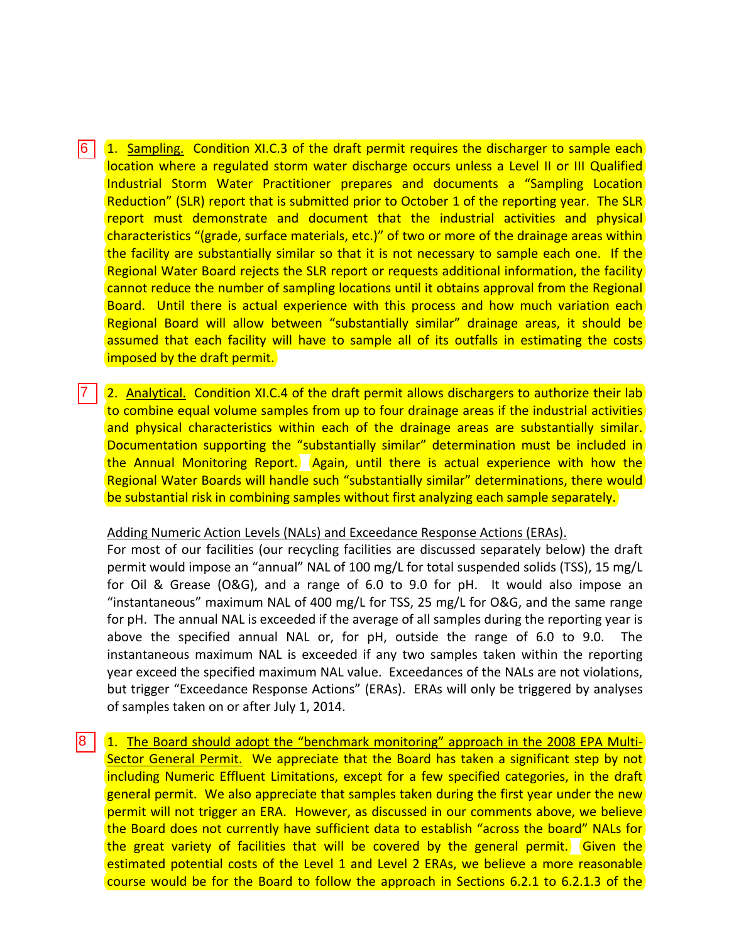6 | (1. Sampling. Condition XI.C.3 of the draft permit requires the discharger to sample each location where a regulated storm water discharge occurs unless a Level II or III Qualified Industrial Storm Water Practitioner prepares and documents a "Sampling Location Reduction" (SLR) report that is submitted prior to October 1 of the reporting year. The SLR report must demonstrate and document that the industrial activities and physical characteristics "(grade, surface materials, etc.)" of two or more of the drainage areas within the facility are substantially similar so that it is not necessary to sample each one. If the Regional Water Board rejects the SLR report or requests additional information, the facility cannot reduce the number of sampling locations until it obtains approval from the Regional Board. Until there is actual experience with this process and how much variation each Regional Board will allow between "substantially similar" drainage areas, it should be assumed that each facility will have to sample all of its outfalls in estimating the costs imposed by the draft permit.

7 | (2. Analytical. Condition XI.C.4 of the draft permit allows dischargers to authorize their lab to combine equal volume samples from up to four drainage areas if the industrial activities and physical characteristics within each of the drainage areas are substantially similar. Documentation supporting the "substantially similar" determination must be included in the Annual Monitoring Report. Again, until there is actual experience with how the Regional Water Boards will handle such "substantially similar" determinations, there would be substantial risk in combining samples without first analyzing each sample separately.

## Adding Numeric Action Levels (NALs) and Exceedance Response Actions (ERAs).

For most of our facilities (our recycling facilities are discussed separately below) the draft permit would impose an "annual" NAL of 100 mg/L for total suspended solids (TSS), 15 mg/L for Oil & Grease (O&G), and a range of 6.0 to 9.0 for pH. It would also impose an "instantaneous" maximum NAL of 400 mg/L for TSS, 25 mg/L for O&G, and the same range for pH. The annual NAL is exceeded if the average of all samples during the reporting year is above the specified annual NAL or, for pH, outside the range of 6.0 to 9.0. The instantaneous maximum NAL is exceeded if any two samples taken within the reporting year exceed the specified maximum NAL value. Exceedances of the NALs are not violations, but trigger "Exceedance Response Actions" (ERAs). ERAs will only be triggered by analyses of samples taken on or after July 1, 2014.

1. The Board should adopt the "benchmark monitoring" approach in the 2008 EPA Multi‐ Sector General Permit. We appreciate that the Board has taken a significant step by not including Numeric Effluent Limitations, except for a few specified categories, in the draft general permit. We also appreciate that samples taken during the first year under the new permit will not trigger an ERA. However, as discussed in our comments above, we believe the Board does not currently have sufficient data to establish "across the board" NALs for the great variety of facilities that will be covered by the general permit. Given the estimated potential costs of the Level 1 and Level 2 ERAs, we believe a more reasonable course would be for the Board to follow the approach in Sections 6.2.1 to 6.2.1.3 of the 8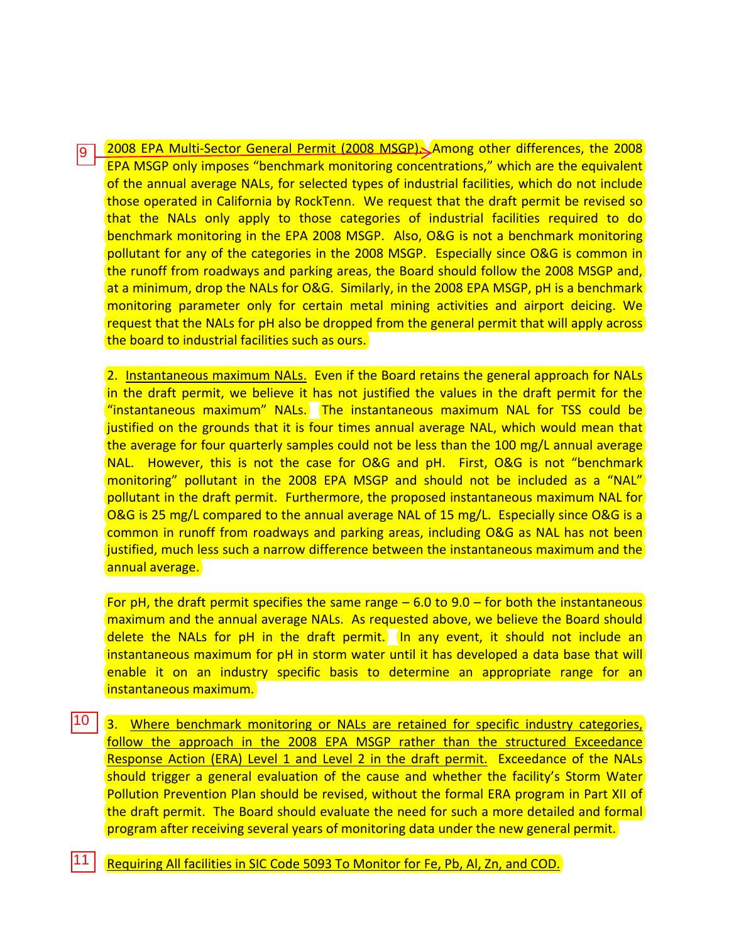2008 EPA Multi-Sector General Permit (2008 MSGP). Among other differences, the 2008 EPA MSGP only imposes "benchmark monitoring concentrations," which are the equivalent of the annual average NALs, for selected types of industrial facilities, which do not include those operated in California by RockTenn. We request that the draft permit be revised so that the NALs only apply to those categories of industrial facilities required to do benchmark monitoring in the EPA 2008 MSGP. Also, O&G is not a benchmark monitoring pollutant for any of the categories in the 2008 MSGP. Especially since O&G is common in the runoff from roadways and parking areas, the Board should follow the 2008 MSGP and, at a minimum, drop the NALs for O&G. Similarly, in the 2008 EPA MSGP, pH is a benchmark monitoring parameter only for certain metal mining activities and airport deicing. We request that the NALs for pH also be dropped from the general permit that will apply across the board to industrial facilities such as ours. l9 ·

2. Instantaneous maximum NALs. Even if the Board retains the general approach for NALs in the draft permit, we believe it has not justified the values in the draft permit for the "instantaneous maximum" NALs. The instantaneous maximum NAL for TSS could be justified on the grounds that it is four times annual average NAL, which would mean that the average for four quarterly samples could not be less than the 100 mg/L annual average NAL. However, this is not the case for O&G and pH. First, O&G is not "benchmark monitoring" pollutant in the 2008 EPA MSGP and should not be included as a "NAL" pollutant in the draft permit. Furthermore, the proposed instantaneous maximum NAL for O&G is 25 mg/L compared to the annual average NAL of 15 mg/L. Especially since O&G is a common in runoff from roadways and parking areas, including O&G as NAL has not been justified, much less such a narrow difference between the instantaneous maximum and the annual average.

For pH, the draft permit specifies the same range  $-6.0$  to 9.0 – for both the instantaneous maximum and the annual average NALs. As requested above, we believe the Board should delete the NALs for pH in the draft permit. In any event, it should not include an instantaneous maximum for pH in storm water until it has developed a data base that will enable it on an industry specific basis to determine an appropriate range for an instantaneous maximum.

- 10 I  $\frac{10}{11}$ 3. Where benchmark monitoring or NALs are retained for specific industry categories, follow the approach in the 2008 EPA MSGP rather than the structured Exceedance Response Action (ERA) Level 1 and Level 2 in the draft permit. Exceedance of the NALs should trigger a general evaluation of the cause and whether the facility's Storm Water Pollution Prevention Plan should be revised, without the formal ERA program in Part XII of the draft permit. The Board should evaluate the need for such a more detailed and formal program after receiving several years of monitoring data under the new general permit.
- 11 Requiring All facilities in SIC Code 5093 To Monitor for Fe, Pb, Al, Zn, and COD.